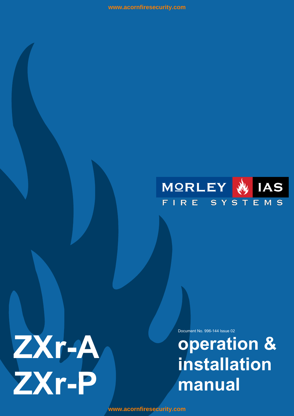



Document No. 996-144 Issue 02

**operation & installation** 

**<www.acornfiresecurity.com>**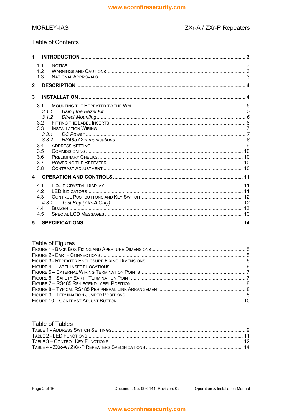#### **MORLEY-IAS**

### **Table of Contents**

| 1              |                                                                                                    |  |
|----------------|----------------------------------------------------------------------------------------------------|--|
|                | 1.1<br>12<br>1.3                                                                                   |  |
| $\mathbf{2}$   |                                                                                                    |  |
| 3              |                                                                                                    |  |
|                | 3 <sub>1</sub><br>3.1.1<br>3.1.2<br>32<br>3.3<br>3.3.1<br>3,3,2<br>3.4<br>3.5<br>3.6<br>3.7<br>3.8 |  |
| $\overline{4}$ |                                                                                                    |  |
|                | 41<br>4.2<br>4.3<br>431<br>4.4<br>4.5                                                              |  |
| 5              |                                                                                                    |  |

### Table of Figures

#### **Table of Tables**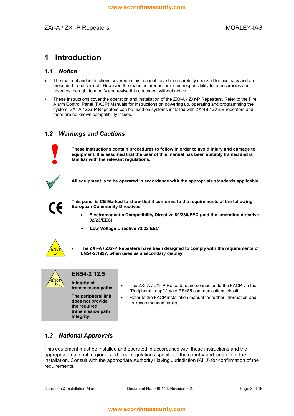# **1 Introduction**

#### *1.1 Notice*

- The material and instructions covered in this manual have been carefully checked for accuracy and are presumed to be correct. However, the manufacturer assumes no responsibility for inaccuracies and reserves the right to modify and revise this document without notice.
- These instructions cover the operation and installation of the ZXr-A / ZXr-P Repeaters. Refer to the Fire Alarm Control Panel (FACP) Manuals for instructions on powering up, operating and programming the system. ZXr-A / ZXr-P Repeaters can be used on systems installed with ZXr4B / ZXr5B repeaters and there are no known compatibility issues.

#### *1.2 Warnings and Cautions*



**These instructions contain procedures to follow in order to avoid injury and damage to equipment. It is assumed that the user of this manual has been suitably trained and is familiar with the relevant regulations.** 



**All equipment is to be operated in accordance with the appropriate standards applicable** 



**This panel is CE Marked to show that it conforms to the requirements of the following European Community Directives:** 

- **Electromagnetic Compatibility Directive 89/336/EEC (and the amending directive 92/23/EEC)** 
	- **Low Voltage Directive 73/23/EEC**



• **The ZXr-A / ZXr-P Repeaters have been designed to comply with the requirements of EN54-2:1997, when used as a secondary display.** 



### **EN54-2 12.5**

**the required transmission path integrity.** 

- **Integrity of**<br> **•** The ZXr-A / ZXr-P Repeaters are connected to the FACP via the<br> **EXAPE communications give** it **if ansies on paths:** "Peripheral Loop" 2-wire RS485 communications circuit.<br>**The peripheral link the Refer to the FACP** installation manual for further informa
- **The peripheral link Refer to the FACP installation manual for further information and does not provide for recommended cables** for recommended cables.

### *1.3 National Approvals*

This equipment must be installed and operated in accordance with these instructions and the appropriate national, regional and local regulations specific to the country and location of the installation. Consult with the appropriate Authority Having Jurisdiction (AHJ) for confirmation of the requirements.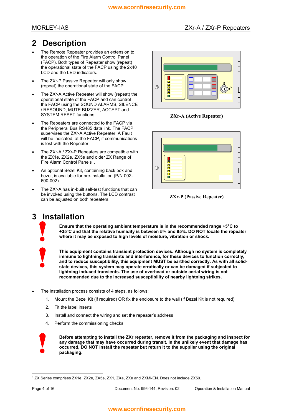# **2 Description**

- The Remote Repeater provides an extension to the operation of the Fire Alarm Control Panel (FACP). Both types of Repeater show (repeat) the operational state of the FACP using the 2x40 LCD and the LED indicators.
- The ZXr-P Passive Repeater will only show (repeat) the operational state of the FACP.
- The ZXr-A Active Repeater will show (repeat) the operational state of the FACP and can control the FACP using the SOUND ALARMS, SILENCE / RESOUND, MUTE BUZZER, ACCEPT and SYSTEM RESET functions. **ZXr-A (Active Repeater)**
- The Repeaters are connected to the FACP via the Peripheral Bus RS485 data link. The FACP supervises the ZXr-A Active Repeater. A Fault will be indicated, at the FACP, if communications is lost with the Repeater.
- The ZXr-A / ZXr-P Repeaters are compatible with the ZX1e, ZX2e, ZX5e and older ZX Range of Fire Alarm Control Panels<sup>[1](#page-3-0)</sup>.
- An optional Bezel Kit, containing back box and bezel, is available for pre-installation (P/N 002- 600-002).
- The ZXr-A has in-built self-test functions that can be invoked using the buttons. The LCD contrast can be adjusted on both repeaters. **ZXr-P (Passive Repeater)**





# **3 Installation**

**Ensure that the operating ambient temperature is in the recommended range +5°C to +35°C and that the relative humidity is between 5% and 95%. DO NOT locate the repeater where it may be exposed to high levels of moisture, vibration or shock.** 



**This equipment contains transient protection devices. Although no system is completely immune to lightning transients and interference, for these devices to function correctly, and to reduce susceptibility, this equipment MUST be earthed correctly. As with all solidstate devices, this system may operate erratically or can be damaged if subjected to lightning induced transients. The use of overhead or outside aerial wiring is not recommended due to the increased susceptibility of nearby lightning strikes.** 

- The installation process consists of 4 steps, as follows:
	- 1. Mount the Bezel Kit (if required) OR fix the enclosure to the wall (if Bezel Kit is not required)
	- 2. Fit the label inserts
	- 3. Install and connect the wiring and set the repeaterís address
	- 4. Perform the commissioning checks



**Before attempting to install the ZXr repeater, remove it from the packaging and inspect for any damage that may have occurred during transit. In the unlikely event that damage has occurred, DO NOT install the repeater but return it to the supplier using the original packaging.** 

<span id="page-3-0"></span>l <sup>1</sup> ZX Series comprises ZX1e, ZX2e, ZX5e, ZX1, ZXa, ZXe and ZXMi-EN. Does not include ZX50.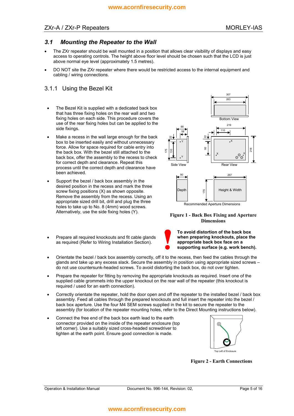#### ZXr-A / ZXr-P Repeaters MORLEY-IAS

#### *3.1 Mounting the Repeater to the Wall*

- The ZXr repeater should be wall mounted in a position that allows clear visibility of displays and easy access to operating controls. The height above floor level should be chosen such that the LCD is just above normal eye level (approximately 1.5 metres).
- DO NOT site the ZXr repeater where there would be restricted access to the internal equipment and cabling / wiring connections.

#### 3.1.1 Using the Bezel Kit

- The Bezel Kit is supplied with a dedicated back box that has three fixing holes on the rear wall and two fixing holes on each side. This procedure covers the use of the rear fixing holes but can be applied to the side fixings.
- Make a recess in the wall large enough for the back box to be inserted easily and without unnecessary force. Allow for space required for cable entry into the back box. With the bezel still attached to the back box, offer the assembly to the recess to check for correct depth and clearance. Repeat this process until the correct depth and clearance have been achieved.
- Support the bezel / back box assembly in the desired position in the recess and mark the three screw fixing positions (X) as shown opposite. Remove the assembly from the recess. Using an appropriate sized drill bit, drill and plug the three holes to take up to No. 8 (4mm) wood screws. Alternatively, use the side fixing holes (Y). **Figure 1 - Back Box Fixing and Aperture**
- Prepare all required knockouts and fit cable glands as required (Refer to Wiring Installation Section).



# **Dimensions**



**To avoid distortion of the back box when preparing knockouts, place the appropriate back box face on a supporting surface (e.g. work bench).** 

- Orientate the bezel / back box assembly correctly, off it to the recess, then feed the cables through the glands and take up any excess slack. Secure the assembly in position using appropriate sized screws  $$ do not use countersunk-headed screws. To avoid distorting the back box, do not over tighten.
- Prepare the repeater for fitting by removing the appropriate knockouts as required. Insert one of the supplied cable grommets into the upper knockout on the rear wall of the repeater (this knockout is required / used for an earth connection).
- Correctly orientate the repeater, hold the door open and off the repeater to the installed bezel / back box assembly. Feed all cables through the prepared knockouts and full insert the repeater into the bezel / back box aperture. Use the four M4 SEM screws supplied in the kit to secure the repeater to the assembly (for location of the repeater mounting holes, refer to the Direct Mounting instructions below).
- Connect the free end of the back box earth lead to the earth connector provided on the inside of the repeater enclosure (top left corner). Use a suitably sized cross-headed screwdriver to tighten at the earth point. Ensure good connection is made.



**Figure 2 - Earth Connections**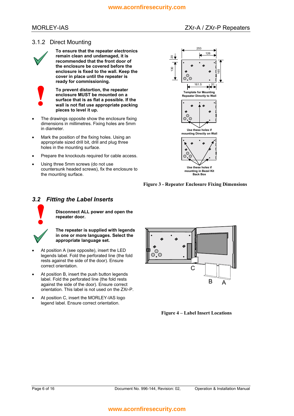#### MORLEY-IAS ZXr-A / ZXr-A / ZXr-P Repeaters

#### 3.1.2 Direct Mounting



**To ensure that the repeater electronics remain clean and undamaged, it is recommended that the front door of the enclosure be covered before the enclosure is fixed to the wall. Keep the cover in place until the repeater is ready for commissioning.** 

**To prevent distortion, the repeater enclosure MUST be mounted on a surface that is as flat a possible. If the wall is not flat use appropriate packing pieces to level it up.** 

- The drawings opposite show the enclosure fixing dimensions in millimetres. Fixing holes are 5mm in diameter.
- Mark the position of the fixing holes. Using an appropriate sized drill bit, drill and plug three holes in the mounting surface.
- Prepare the knockouts required for cable access.
- Using three 5mm screws (do not use countersunk headed screws), fix the enclosure to the mounting surface.



**Figure 3 - Repeater Enclosure Fixing Dimensions** 

#### *3.2 Fitting the Label Inserts*



**Disconnect ALL power and open the repeater door.** 

**The repeater is supplied with legends in one or more languages. Select the appropriate language set.** 

- At position A (see opposite), insert the LED legends label. Fold the perforated line (the fold rests against the side of the door). Ensure correct orientation.
- At position B, insert the push button legends label. Fold the perforated line (the fold rests against the side of the door). Ensure correct orientation. This label is not used on the ZXr-P.
- At position C, insert the MORLEY-IAS logo legend label. Ensure correct orientation.



**Figure 4 – Label Insert Locations**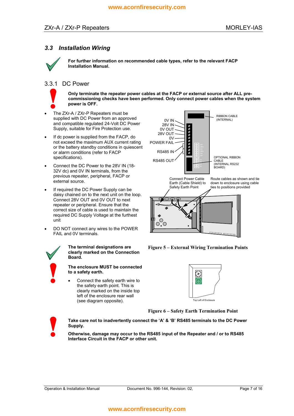#### *3.3 Installation Wiring*



**For further information on recommended cable types, refer to the relevant FACP Installation Manual.** 

#### 3.3.1 DC Power



**Only terminate the repeater power cables at the FACP or external source after ALL precommissioning checks have been performed. Only connect power cables when the system power is OFF.** 

- The ZXr-A / ZXr-P Repeaters must be supplied with DC Power from an approved and compatible regulated 24-Volt DC Power Supply, suitable for Fire Protection use.
- If dc power is supplied from the FACP, do not exceed the maximum AUX current rating or the battery standby conditions in quiescent or alarm conditions (refer to FACP specifications).
- Connect the DC Power to the 28V IN (18- 32V dc) and 0V IN terminals, from the previous repeater, peripheral, FACP or previous repeater, periprieral, r-ACF or<br>external source. Connect Power Cable<br>Earth (Cable Shield) to
- If required the DC Power Supply can be daisy chained on to the next unit on the loop. Connect 28V OUT and 0V OUT to next repeater or peripheral. Ensure that the correct size of cable is used to maintain the required DC Supply Voltage at the furthest unit
- DO NOT connect any wires to the POWER FAIL and 0V terminals.



**clearly marked on the Connection Board.** 

#### **The enclosure MUST be connected to a safety earth.**

• Connect the safety earth wire to the safety earth point. This is clearly marked on the inside top left of the enclosure rear wall (see diagram opposite).



**The terminal designations are Figure 5 – External Wiring Termination Points** 



**Figure 6 – Safety Earth Termination Point** 



Take care not to inadvertently connect the 'A' & 'B' RS485 terminals to the DC Power **Supply.** 

**Otherwise, damage may occur to the RS485 input of the Repeater and / or to RS485 Interface Circuit in the FACP or other unit.**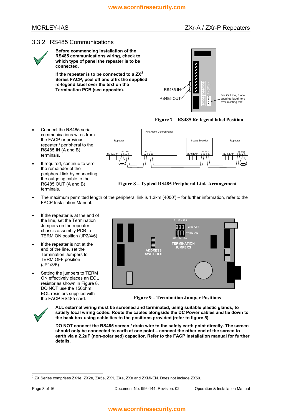#### 3.3.2 RS485 Communications



**Before commencing installation of the RS485 communications wiring, check to which type of panel the repeater is to be connected.** 

**[2](#page-7-0) If the repeater is to be connected to a ZX Series FACP, peel off and affix the supplied re-legend label over the text on the Termination PCB (see opposite).** 



#### Figure 7 – RS485 Re-legend label Position

- Connect the RS485 serial communications wires from the FACP or previous repeater / peripheral to the RS485 IN (A and B) terminals.
- If required, continue to wire the remainder of the peripheral link by connecting the outgoing cable to the RS485 OUT (A and B) terminals.



Figure 8 – Typical RS485 Peripheral Link Arrangement

- <span id="page-7-1"></span>The maximum permitted length of the peripheral link is 1.2km (4000') – for further information, refer to the FACP Installation Manual.
- If the repeater is at the end of the line, set the Termination Jumpers on the repeater chassis assembly PCB to TERM ON position (JP2/4/6).
- If the repeater is not at the end of the line, set the Termination Jumpers to TERM OFF position (JP1/3/5).
- Setting the jumpers to TERM ON effectively places an EOL resistor as shown in [Figure 8.](#page-7-1) DO NOT use the 150ohm EOL resistors supplied with



the FACP RS485 card. **Figure 9 ñ Termination Jumper Positions** 

<span id="page-7-2"></span>

**ALL external wiring must be screened and terminated, using suitable plastic glands, to satisfy local wiring codes. Route the cables alongside the DC Power cables and tie down to the back box using cable ties to the positions provided (refer to figure 5).** 

**DO NOT connect the RS485 screen / drain wire to the safety earth point directly. The screen**  should only be connected to earth at one point  $-$  connect the other end of the screen to **earth via a 2.2uF (non-polarised) capacitor. Refer to the FACP Installation manual for further details.** 

<span id="page-7-0"></span> 2 ZX Series comprises ZX1e, ZX2e, ZX5e, ZX1, ZXa, ZXe and ZXMi-EN. Does not include ZX50.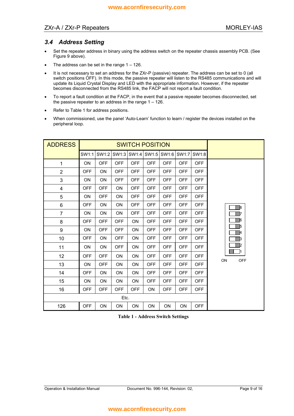#### ZXr-A / ZXr-P Repeaters MORLEY-IAS

#### *3.4 Address Setting*

- Set the repeater address in binary using the address switch on the repeater chassis assembly PCB. (See [Figure 9](#page-7-2) above).
- The address can be set in the range  $1 126$ .
- It is not necessary to set an address for the ZXr-P (passive) repeater. The address can be set to 0 (all switch positions OFF). In this mode, the passive repeater will listen to the RS485 communications and will update its Liquid Crystal Display and LED with the appropriate information. However, if the repeater becomes disconnected from the RS485 link, the FACP will not report a fault condition.
- To report a fault condition at the FACP, in the event that a passive repeater becomes disconnected, set the passive repeater to an address in the range  $1 - 126$ .
- Refer to [Table 1](#page-8-0) for address positions.
- When commissioned, use the panel 'Auto-Learn' function to learn / register the devices installed on the peripheral loop.

| <b>ADDRESS</b> | <b>SWITCH POSITION</b> |            |            |            |            |             |            |            |                                                                             |
|----------------|------------------------|------------|------------|------------|------------|-------------|------------|------------|-----------------------------------------------------------------------------|
|                | SW1:1                  | SW1:2      | SW1:3      | SW1:4      |            | SW1:5 SW1:6 | SW1:7      | SW1:8      |                                                                             |
| $\mathbf{1}$   | <b>ON</b>              | <b>OFF</b> | <b>OFF</b> | <b>OFF</b> | <b>OFF</b> | <b>OFF</b>  | OFF        | <b>OFF</b> |                                                                             |
| $\overline{2}$ | <b>OFF</b>             | <b>ON</b>  | <b>OFF</b> | <b>OFF</b> | <b>OFF</b> | <b>OFF</b>  | <b>OFF</b> | <b>OFF</b> |                                                                             |
| 3              | <b>ON</b>              | <b>ON</b>  | <b>OFF</b> | <b>OFF</b> | <b>OFF</b> | <b>OFF</b>  | <b>OFF</b> | <b>OFF</b> |                                                                             |
| 4              | <b>OFF</b>             | <b>OFF</b> | <b>ON</b>  | <b>OFF</b> | <b>OFF</b> | <b>OFF</b>  | <b>OFF</b> | <b>OFF</b> |                                                                             |
| 5              | <b>ON</b>              | <b>OFF</b> | <b>ON</b>  | <b>OFF</b> | <b>OFF</b> | <b>OFF</b>  | <b>OFF</b> | <b>OFF</b> |                                                                             |
| 6              | <b>OFF</b>             | <b>ON</b>  | <b>ON</b>  | <b>OFF</b> | <b>OFF</b> | <b>OFF</b>  | <b>OFF</b> | <b>OFF</b> | B<br><b>6</b><br>-15<br><b>A</b><br>- B<br><sub>2</sub><br>ON<br><b>OFF</b> |
| $\overline{7}$ | <b>ON</b>              | <b>ON</b>  | <b>ON</b>  | <b>OFF</b> | <b>OFF</b> | <b>OFF</b>  | <b>OFF</b> | <b>OFF</b> |                                                                             |
| 8              | <b>OFF</b>             | <b>OFF</b> | <b>OFF</b> | ON         | <b>OFF</b> | <b>OFF</b>  | <b>OFF</b> | <b>OFF</b> |                                                                             |
| 9              | <b>ON</b>              | <b>OFF</b> | <b>OFF</b> | <b>ON</b>  | <b>OFF</b> | <b>OFF</b>  | <b>OFF</b> | <b>OFF</b> |                                                                             |
| 10             | <b>OFF</b>             | <b>ON</b>  | <b>OFF</b> | <b>ON</b>  | <b>OFF</b> | <b>OFF</b>  | <b>OFF</b> | <b>OFF</b> |                                                                             |
| 11             | <b>ON</b>              | 0N         | <b>OFF</b> | <b>ON</b>  | <b>OFF</b> | <b>OFF</b>  | <b>OFF</b> | <b>OFF</b> |                                                                             |
| 12             | <b>OFF</b>             | <b>OFF</b> | <b>ON</b>  | <b>ON</b>  | <b>OFF</b> | <b>OFF</b>  | <b>OFF</b> | <b>OFF</b> |                                                                             |
| 13             | <b>ON</b>              | <b>OFF</b> | <b>ON</b>  | ON         | <b>OFF</b> | <b>OFF</b>  | <b>OFF</b> | <b>OFF</b> |                                                                             |
| 14             | <b>OFF</b>             | <b>ON</b>  | <b>ON</b>  | <b>ON</b>  | <b>OFF</b> | <b>OFF</b>  | <b>OFF</b> | <b>OFF</b> |                                                                             |
| 15             | <b>ON</b>              | <b>ON</b>  | <b>ON</b>  | <b>ON</b>  | <b>OFF</b> | <b>OFF</b>  | <b>OFF</b> | <b>OFF</b> |                                                                             |
| 16             | <b>OFF</b>             | <b>OFF</b> | <b>OFF</b> | <b>OFF</b> | <b>ON</b>  | <b>OFF</b>  | <b>OFF</b> | <b>OFF</b> |                                                                             |
| Etc.           |                        |            |            |            |            |             |            |            |                                                                             |
| 126            | <b>OFF</b>             | ON         | <b>ON</b>  | <b>ON</b>  | <b>ON</b>  | ON          | ON         | <b>OFF</b> |                                                                             |

<span id="page-8-0"></span>**Table 1 - Address Switch Settings**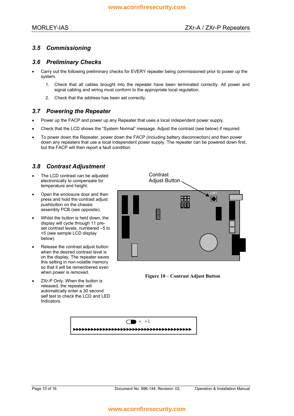#### *3.5 Commissioning*

#### *3.6 Preliminary Checks*

- Carry out the following preliminary checks for EVERY repeater being commissioned prior to power up the system.
	- 1. Check that all cables brought into the repeater have been terminated correctly. All power and signal cabling and wiring must conform to the appropriate local regulation.
	- 2. Check that the address has been set correctly.

#### *3.7 Powering the Repeater*

- Power up the FACP and power up any Repeater that uses a local independent power supply.
- Check that the LCD shows the "System Normal" message. Adjust the contrast (see below) if required.
- To power down the Repeater, power down the FACP (including battery disconnection) and then power down any repeaters that use a local independent power supply. The repeater can be powered down first, but the FACP will then report a fault condition.

#### *3.8 Contrast Adjustment*

- Adjust Button The LCD contrast can be adjusted electronically to compensate for temperature and height.
- Open the enclosure door and then press and hold the contrast adjust pushbutton on the chassis assembly PCB (see opposite).
- Whilst the button is held down, the display will cycle through 11 preset contrast levels, numbered -5 to +5 (see sample LCD display below).
- Release the contrast adjust button when the desired contrast level is on the display. The repeater saves this setting in non-volatile memory so that it will be remembered even<br>when power is removed.
- ZXr-P Only: When the button is released, the repeater will automatically enter a 30 second self test to check the LCD and LED Indicators.



Figure 10 – Contrast Adjust Button

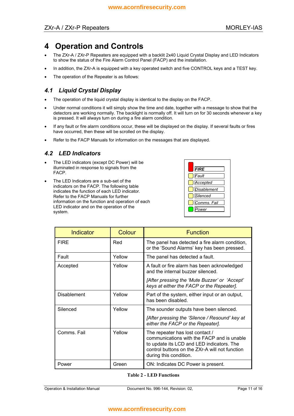# **4 Operation and Controls**

- The ZXr-A / ZXr-P Repeaters are equipped with a backlit 2x40 Liquid Crystal Display and LED Indicators to show the status of the Fire Alarm Control Panel (FACP) and the installation.
- In addition, the ZXr-A is equipped with a key operated switch and five CONTROL keys and a TEST key.
- The operation of the Repeater is as follows:

### *4.1 Liquid Crystal Display*

- The operation of the liquid crystal display is identical to the display on the FACP.
- Under normal conditions it will simply show the time and date, together with a message to show that the detectors are working normally. The backlight is normally off. It will turn on for 30 seconds whenever a key is pressed. It will always turn on during a fire alarm condition.
- If any fault or fire alarm conditions occur, these will be displayed on the display. If several faults or fires have occurred, then these will be scrolled on the display.
- Refer to the FACP Manuals for information on the messages that are displayed.

#### *4.2 LED Indicators*

- The LED indicators (except DC Power) will be illuminated in response to signals from the FACP.
- The LED Indicators are a sub-set of the indicators on the FACP. The following table indicates the function of each LED indicator. Refer to the FACP Manuals for further information on the function and operation of each LED indicator and on the operation of the system.



| Indicator   | Colour | <b>Function</b>                                                                                                                                                                                        |  |  |
|-------------|--------|--------------------------------------------------------------------------------------------------------------------------------------------------------------------------------------------------------|--|--|
| <b>FIRE</b> | Red    | The panel has detected a fire alarm condition,<br>or the 'Sound Alarms' key has been pressed.                                                                                                          |  |  |
| Fault       | Yellow | The panel has detected a fault.                                                                                                                                                                        |  |  |
| Accepted    | Yellow | A fault or fire alarm has been acknowledged<br>and the internal buzzer silenced.                                                                                                                       |  |  |
|             |        | [After pressing the 'Mute Buzzer' or 'Accept'<br>keys at either the FACP or the Repeater].                                                                                                             |  |  |
| Disablement | Yellow | Part of the system, either input or an output,<br>has been disabled.                                                                                                                                   |  |  |
| Silenced    | Yellow | The sounder outputs have been silenced.                                                                                                                                                                |  |  |
|             |        | [After pressing the 'Silence / Resound' key at<br>either the FACP or the Repeater].                                                                                                                    |  |  |
| Comms, Fail | Yellow | The repeater has lost contact /<br>communications with the FACP and is unable<br>to update its LCD and LED indicators. The<br>control buttons on the ZXr-A will not function<br>during this condition. |  |  |
| Power       | Green  | ON: Indicates DC Power is present.                                                                                                                                                                     |  |  |

#### **Table 2 - LED Functions**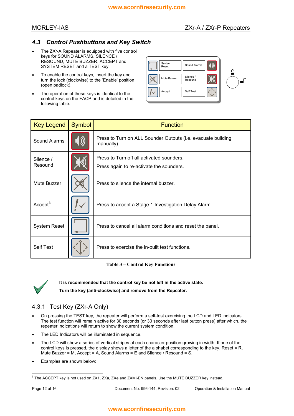#### *4.3 Control Pushbuttons and Key Switch*

- The ZXr-A Repeater is equipped with five control keys for SOUND ALARMS, SILENCE / RESOUND, MUTE BUZZER, ACCEPT and SYSTEM RESET and a TEST key.
- To enable the control keys, insert the key and turn the lock (clockwise) to the 'Enable' position (open padlock).
- The operation of these keys is identical to the control keys on the FACP and is detailed in the following table.



| <b>Key Legend</b>    | Symbol | <b>Function</b>                                                                       |
|----------------------|--------|---------------------------------------------------------------------------------------|
| Sound Alarms         |        | Press to Turn on ALL Sounder Outputs (i.e. evacuate building<br>manually).            |
| Silence /<br>Resound |        | Press to Turn off all activated sounders.<br>Press again to re-activate the sounders. |
| Mute Buzzer          |        | Press to silence the internal buzzer.                                                 |
| Accept <sup>3</sup>  |        | Press to accept a Stage 1 Investigation Delay Alarm                                   |
| <b>System Reset</b>  |        | Press to cancel all alarm conditions and reset the panel.                             |
| <b>Self Test</b>     |        | Press to exercise the in-built test functions.                                        |

**Table 3 – Control Key Functions** 



**It is recommended that the control key be not left in the active state.** 

**Turn the key (anti-clockwise) and remove from the Repeater.** 

#### 4.3.1 Test Key (ZXr-A Only)

- On pressing the TEST key, the repeater will perform a self-test exercising the LCD and LED indicators. The test function will remain active for 30 seconds (or 30 seconds after last button press) after which, the repeater indications will return to show the current system condition.
- The LED Indicators will be illuminated in sequence.
- The LCD will show a series of vertical stripes at each character position growing in width. If one of the control keys is pressed, the display shows a letter of the alphabet corresponding to the key. Reset = R, Mute Buzzer = M, Accept = A, Sound Alarms = E and Silence / Resound = S.
- Examples are shown below:

<span id="page-11-0"></span> 3 The ACCEPT key is not used on ZX1, ZXa, ZXe and ZXMi-EN panels. Use the MUTE BUZZER key instead.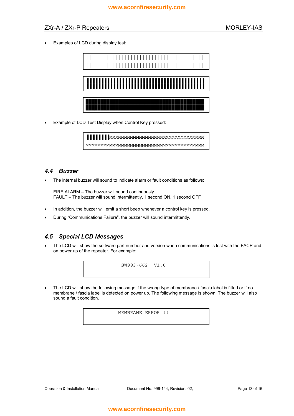#### ZXr-A / ZXr-P Repeaters MORLEY-IAS

• Examples of LCD during display test:



• Example of LCD Test Display when Control Key pressed:

▐▐▐▐▐▐▐▐MMMMMMMMMMMMMMMMMMMMMMMMMMMMMMMM MMMMMMMMMMMMMMMMMMMMMMMMMMMMMMMMMMMMMMMM

#### *4.4 Buzzer*

• The internal buzzer will sound to indicate alarm or fault conditions as follows:

FIRE ALARM - The buzzer will sound continuously FAULT - The buzzer will sound intermittently, 1 second ON, 1 second OFF

- In addition, the buzzer will emit a short beep whenever a control key is pressed.
- During "Communications Failure", the buzzer will sound intermittently.

#### *4.5 Special LCD Messages*

The LCD will show the software part number and version when communications is lost with the FACP and on power up of the repeater. For example:



The LCD will show the following message if the wrong type of membrane / fascia label is fitted or if no membrane / fascia label is detected on power up. The following message is shown. The buzzer will also sound a fault condition.

MEMBRANE ERROR !!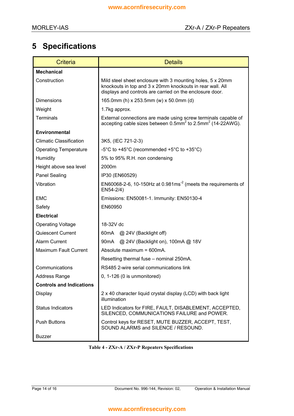# **5 Specifications**

| <b>Criteria</b>                 | <b>Details</b>                                                                                                                                                                      |
|---------------------------------|-------------------------------------------------------------------------------------------------------------------------------------------------------------------------------------|
| <b>Mechanical</b>               |                                                                                                                                                                                     |
| Construction                    | Mild steel sheet enclosure with 3 mounting holes, 5 x 20mm<br>knockouts in top and 3 x 20mm knockouts in rear wall. All<br>displays and controls are carried on the enclosure door. |
| <b>Dimensions</b>               | 165.0mm (h) x 253.5mm (w) x 50.0mm (d)                                                                                                                                              |
| Weight                          | 1.7kg approx.                                                                                                                                                                       |
| <b>Terminals</b>                | External connections are made using screw terminals capable of<br>accepting cable sizes between $0.5$ mm <sup>2</sup> to $2.5$ mm <sup>2</sup> (14-22AWG).                          |
| Environmental                   |                                                                                                                                                                                     |
| <b>Climatic Classification</b>  | 3K5, (IEC 721-2-3)                                                                                                                                                                  |
| <b>Operating Temperature</b>    | -5°C to +45°C (recommended +5°C to +35°C)                                                                                                                                           |
| Humidity                        | 5% to 95% R.H. non condensing                                                                                                                                                       |
| Height above sea level          | 2000m                                                                                                                                                                               |
| <b>Panel Sealing</b>            | IP30 (EN60529)                                                                                                                                                                      |
| Vibration                       | EN60068-2-6, 10-150Hz at 0.981ms <sup>-2</sup> (meets the requirements of<br>EN54-2/4)                                                                                              |
| <b>EMC</b>                      | Emissions: EN50081-1. Immunity: EN50130-4                                                                                                                                           |
| Safety                          | EN60950                                                                                                                                                                             |
| <b>Electrical</b>               |                                                                                                                                                                                     |
| <b>Operating Voltage</b>        | 18-32V dc                                                                                                                                                                           |
| <b>Quiescent Current</b>        | 60mA @ 24V (Backlight off)                                                                                                                                                          |
| <b>Alarm Current</b>            | 90mA @ 24V (Backlight on), 100mA @ 18V                                                                                                                                              |
| <b>Maximum Fault Current</b>    | Absolute maximum = 600mA.                                                                                                                                                           |
|                                 | Resetting thermal fuse – nominal 250mA.                                                                                                                                             |
| Communications                  | RS485 2-wire serial communications link                                                                                                                                             |
| <b>Address Range</b>            | $0, 1-126$ (0 is unmonitored)                                                                                                                                                       |
| <b>Controls and Indications</b> |                                                                                                                                                                                     |
| Display                         | 2 x 40 character liquid crystal display (LCD) with back light<br>illumination                                                                                                       |
| <b>Status Indicators</b>        | LED Indicators for FIRE, FAULT, DISABLEMENT, ACCEPTED,<br>SILENCED, COMMUNICATIONS FAILURE and POWER.                                                                               |
| <b>Push Buttons</b>             | Control keys for RESET, MUTE BUZZER, ACCEPT, TEST,<br>SOUND ALARMS and SILENCE / RESOUND.                                                                                           |
| <b>Buzzer</b>                   |                                                                                                                                                                                     |

#### **Table 4 - ZXr-A / ZXr-P Repeaters Specifications**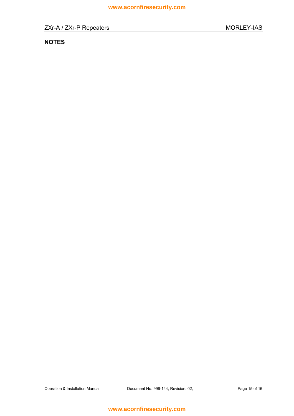## **NOTES**